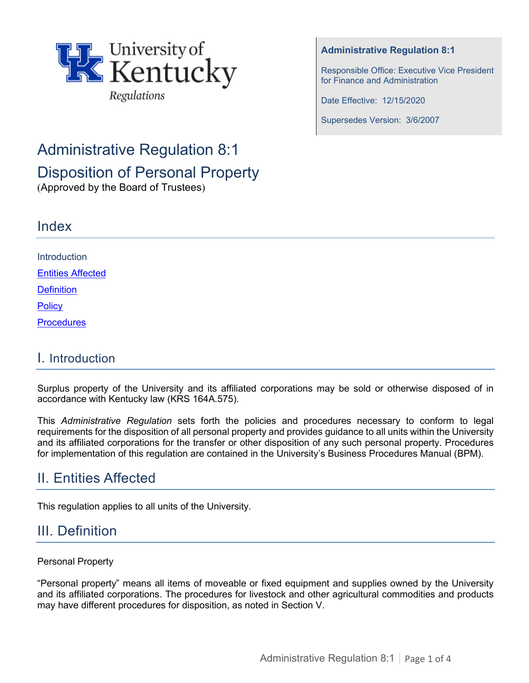

#### **Administrative Regulation 8:1**

Responsible Office: Executive Vice President for Finance and Administration

Date Effective: 12/15/2020

Supersedes Version: 3/6/2007

# Administrative Regulation 8:1

Disposition of Personal Property

(Approved by the Board of Trustees)

| Index                    |  |
|--------------------------|--|
|                          |  |
| Introduction             |  |
| <b>Entities Affected</b> |  |
| <b>Definition</b>        |  |
| Policy                   |  |
| Procedures               |  |
|                          |  |

### I. Introduction

Surplus property of the University and its affiliated corporations may be sold or otherwise disposed of in accordance with Kentucky law (KRS 164A.575).

This *Administrative Regulation* sets forth the policies and procedures necessary to conform to legal requirements for the disposition of all personal property and provides guidance to all units within the University and its affiliated corporations for the transfer or other disposition of any such personal property. Procedures for implementation of this regulation are contained in the University's Business Procedures Manual (BPM).

# <span id="page-0-0"></span>II. Entities Affected

This regulation applies to all units of the University.

# <span id="page-0-1"></span>III. Definition

### Personal Property

"Personal property" means all items of moveable or fixed equipment and supplies owned by the University and its affiliated corporations. The procedures for livestock and other agricultural commodities and products may have different procedures for disposition, as noted in Section V.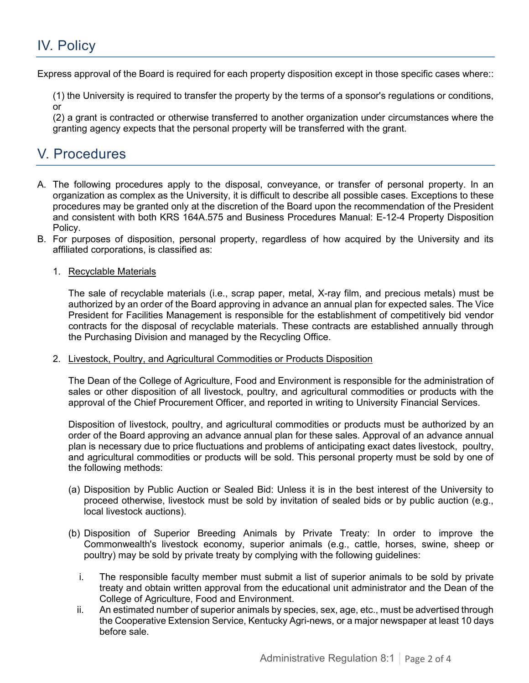# <span id="page-1-0"></span>IV. Policy

Express approval of the Board is required for each property disposition except in those specific cases where::

(1) the University is required to transfer the property by the terms of a sponsor's regulations or conditions, or

(2) a grant is contracted or otherwise transferred to another organization under circumstances where the granting agency expects that the personal property will be transferred with the grant.

# <span id="page-1-1"></span>V. Procedures

- A. The following procedures apply to the disposal, conveyance, or transfer of personal property. In an organization as complex as the University, it is difficult to describe all possible cases. Exceptions to these procedures may be granted only at the discretion of the Board upon the recommendation of the President and consistent with both KRS 164A.575 and Business Procedures Manual: E-12-4 Property Disposition Policy.
- B. For purposes of disposition, personal property, regardless of how acquired by the University and its affiliated corporations, is classified as:

#### 1. Recyclable Materials

The sale of recyclable materials (i.e., scrap paper, metal, X-ray film, and precious metals) must be authorized by an order of the Board approving in advance an annual plan for expected sales. The Vice President for Facilities Management is responsible for the establishment of competitively bid vendor contracts for the disposal of recyclable materials. These contracts are established annually through the Purchasing Division and managed by the Recycling Office.

#### 2. Livestock, Poultry, and Agricultural Commodities or Products Disposition

The Dean of the College of Agriculture, Food and Environment is responsible for the administration of sales or other disposition of all livestock, poultry, and agricultural commodities or products with the approval of the Chief Procurement Officer, and reported in writing to University Financial Services.

Disposition of livestock, poultry, and agricultural commodities or products must be authorized by an order of the Board approving an advance annual plan for these sales. Approval of an advance annual plan is necessary due to price fluctuations and problems of anticipating exact dates livestock, poultry, and agricultural commodities or products will be sold. This personal property must be sold by one of the following methods:

- (a) Disposition by Public Auction or Sealed Bid: Unless it is in the best interest of the University to proceed otherwise, livestock must be sold by invitation of sealed bids or by public auction (e.g., local livestock auctions).
- (b) Disposition of Superior Breeding Animals by Private Treaty: In order to improve the Commonwealth's livestock economy, superior animals (e.g., cattle, horses, swine, sheep or poultry) may be sold by private treaty by complying with the following guidelines:
	- i. The responsible faculty member must submit a list of superior animals to be sold by private treaty and obtain written approval from the educational unit administrator and the Dean of the College of Agriculture, Food and Environment.
	- ii. An estimated number of superior animals by species, sex, age, etc., must be advertised through the Cooperative Extension Service, Kentucky Agri-news, or a major newspaper at least 10 days before sale.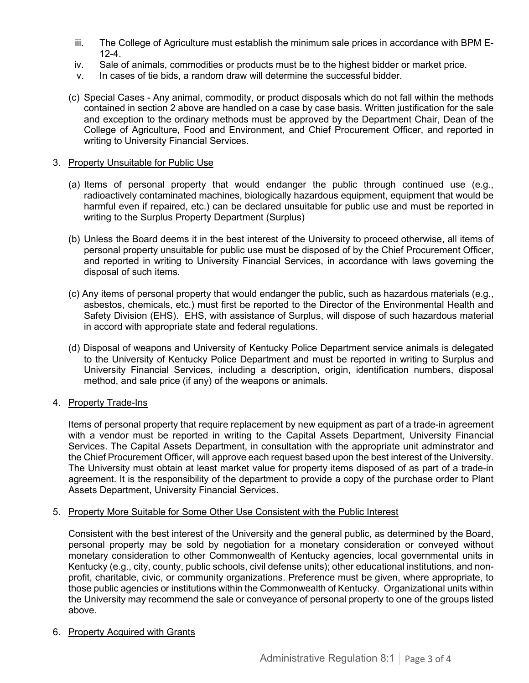- iii. The College of Agriculture must establish the minimum sale prices in accordance with BPM E-12-4.
- iv. Sale of animals, commodities or products must be to the highest bidder or market price.
- v. In cases of tie bids, a random draw will determine the successful bidder.
- (c) Special Cases Any animal, commodity, or product disposals which do not fall within the methods contained in section 2 above are handled on a case by case basis. Written justification for the sale and exception to the ordinary methods must be approved by the Department Chair, Dean of the College of Agriculture, Food and Environment, and Chief Procurement Officer, and reported in writing to University Financial Services.

#### 3. Property Unsuitable for Public Use

- (a) Items of personal property that would endanger the public through continued use (e.g., radioactively contaminated machines, biologically hazardous equipment, equipment that would be harmful even if repaired, etc.) can be declared unsuitable for public use and must be reported in writing to the Surplus Property Department (Surplus)
- (b) Unless the Board deems it in the best interest of the University to proceed otherwise, all items of personal property unsuitable for public use must be disposed of by the Chief Procurement Officer, and reported in writing to University Financial Services, in accordance with laws governing the disposal of such items.
- (c) Any items of personal property that would endanger the public, such as hazardous materials (e.g., asbestos, chemicals, etc.) must first be reported to the Director of the Environmental Health and Safety Division (EHS). EHS, with assistance of Surplus, will dispose of such hazardous material in accord with appropriate state and federal regulations.
- (d) Disposal of weapons and University of Kentucky Police Department service animals is delegated to the University of Kentucky Police Department and must be reported in writing to Surplus and University Financial Services, including a description, origin, identification numbers, disposal method, and sale price (if any) of the weapons or animals.

#### 4. Property Trade-Ins

Items of personal property that require replacement by new equipment as part of a trade-in agreement with a vendor must be reported in writing to the Capital Assets Department, University Financial Services. The Capital Assets Department, in consultation with the appropriate unit adminstrator and the Chief Procurement Officer, will approve each request based upon the best interest of the University. The University must obtain at least market value for property items disposed of as part of a trade-in agreement. It is the responsibility of the department to provide a copy of the purchase order to Plant Assets Department, University Financial Services.

#### 5. Property More Suitable for Some Other Use Consistent with the Public Interest

Consistent with the best interest of the University and the general public, as determined by the Board, personal property may be sold by negotiation for a monetary consideration or conveyed without monetary consideration to other Commonwealth of Kentucky agencies, local governmental units in Kentucky (e.g., city, county, public schools, civil defense units); other educational institutions, and nonprofit, charitable, civic, or community organizations. Preference must be given, where appropriate, to those public agencies or institutions within the Commonwealth of Kentucky. Organizational units within the University may recommend the sale or conveyance of personal property to one of the groups listed above.

#### 6. Property Acquired with Grants